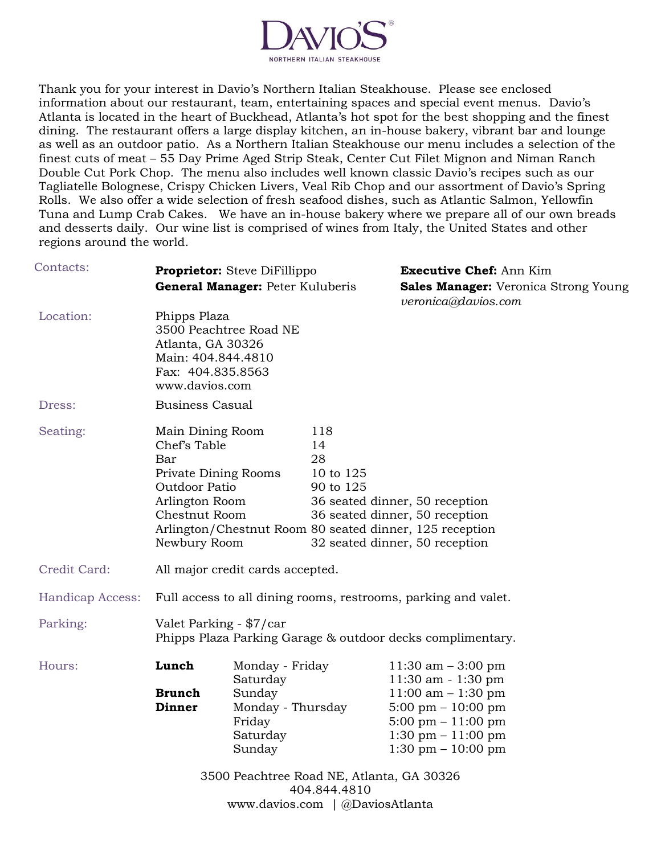

Thank you for your interest in Davio's Northern Italian Steakhouse. Please see enclosed information about our restaurant, team, entertaining spaces and special event menus. Davio's Atlanta is located in the heart of Buckhead, Atlanta's hot spot for the best shopping and the finest dining. The restaurant offers a large display kitchen, an in-house bakery, vibrant bar and lounge as well as an outdoor patio. As a Northern Italian Steakhouse our menu includes a selection of the finest cuts of meat – 55 Day Prime Aged Strip Steak, Center Cut Filet Mignon and Niman Ranch Double Cut Pork Chop. The menu also includes well known classic Davio's recipes such as our Tagliatelle Bolognese, Crispy Chicken Livers, Veal Rib Chop and our assortment of Davio's Spring Rolls. We also offer a wide selection of fresh seafood dishes, such as Atlantic Salmon, Yellowfin Tuna and Lump Crab Cakes. We have an in-house bakery where we prepare all of our own breads and desserts daily. Our wine list is comprised of wines from Italy, the United States and other regions around the world.

| Contacts:        | Proprietor: Steve DiFillippo<br>General Manager: Peter Kuluberis                                                                                                                                      |                                                                                            |                                           | <b>Executive Chef: Ann Kim</b><br>Sales Manager: Veronica Strong Young<br>veronica@davios.com                                                                                                                         |  |
|------------------|-------------------------------------------------------------------------------------------------------------------------------------------------------------------------------------------------------|--------------------------------------------------------------------------------------------|-------------------------------------------|-----------------------------------------------------------------------------------------------------------------------------------------------------------------------------------------------------------------------|--|
| Location:        | Phipps Plaza<br>3500 Peachtree Road NE<br>Atlanta, GA 30326<br>Main: 404.844.4810<br>Fax: 404.835.8563<br>www.davios.com                                                                              |                                                                                            |                                           |                                                                                                                                                                                                                       |  |
| Dress:           | <b>Business Casual</b>                                                                                                                                                                                |                                                                                            |                                           |                                                                                                                                                                                                                       |  |
| Seating:         | Main Dining Room<br>Chef's Table<br>Bar<br><b>Private Dining Rooms</b><br>Outdoor Patio<br>Arlington Room<br>Chestnut Room<br>Arlington/Chestnut Room 80 seated dinner, 125 reception<br>Newbury Room |                                                                                            | 118<br>14<br>28<br>10 to 125<br>90 to 125 | 36 seated dinner, 50 reception<br>36 seated dinner, 50 reception<br>32 seated dinner, 50 reception                                                                                                                    |  |
| Credit Card:     | All major credit cards accepted.                                                                                                                                                                      |                                                                                            |                                           |                                                                                                                                                                                                                       |  |
| Handicap Access: | Full access to all dining rooms, restrooms, parking and valet.                                                                                                                                        |                                                                                            |                                           |                                                                                                                                                                                                                       |  |
| Parking:         | Valet Parking - \$7/car<br>Phipps Plaza Parking Garage & outdoor decks complimentary.                                                                                                                 |                                                                                            |                                           |                                                                                                                                                                                                                       |  |
| Hours:           | Lunch<br><b>Brunch</b><br><b>Dinner</b>                                                                                                                                                               | Monday - Friday<br>Saturday<br>Sunday<br>Monday - Thursday<br>Friday<br>Saturday<br>Sunday |                                           | 11:30 am $-3:00$ pm<br>$11:30$ am $-1:30$ pm<br>$11:00$ am $-1:30$ pm<br>$5:00 \text{ pm} - 10:00 \text{ pm}$<br>$5:00 \text{ pm} - 11:00 \text{ pm}$<br>$1:30 \text{ pm} - 11:00 \text{ pm}$<br>1:30 pm $-$ 10:00 pm |  |
|                  |                                                                                                                                                                                                       | 3500 Peachtree Road NE, Atlanta, GA 30326                                                  | 404.844.4810                              |                                                                                                                                                                                                                       |  |
|                  |                                                                                                                                                                                                       | www.davios.com   @DaviosAtlanta                                                            |                                           |                                                                                                                                                                                                                       |  |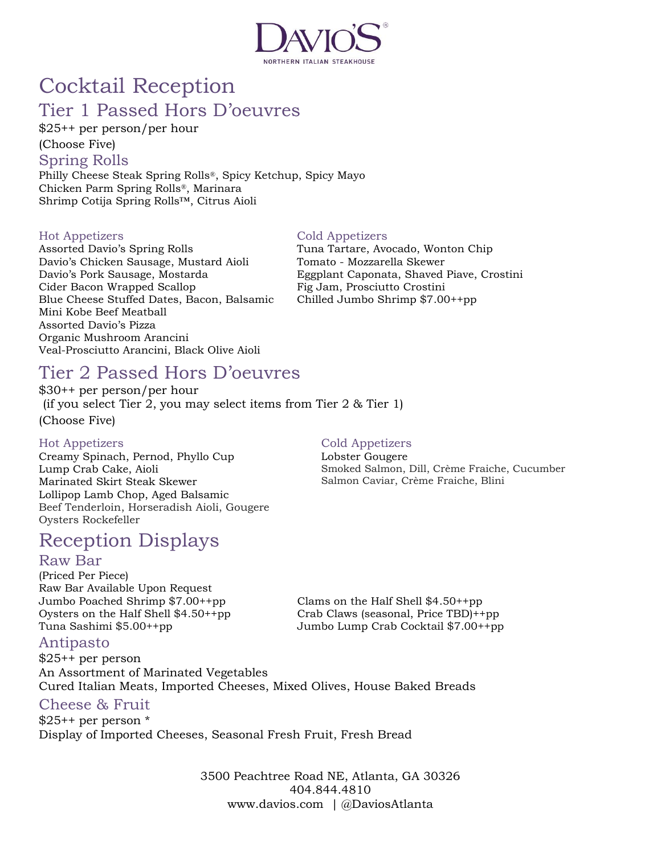

## Cocktail Reception Tier 1 Passed Hors D'oeuvres

\$25++ per person/per hour

(Choose Five)

Spring Rolls

Philly Cheese Steak Spring Rolls®, Spicy Ketchup, Spicy Mayo Chicken Parm Spring Rolls®, Marinara Shrimp Cotija Spring Rolls™, Citrus Aioli

#### Hot Appetizers

Assorted Davio's Spring Rolls Davio's Chicken Sausage, Mustard Aioli Davio's Pork Sausage, Mostarda Cider Bacon Wrapped Scallop Blue Cheese Stuffed Dates, Bacon, Balsamic Mini Kobe Beef Meatball Assorted Davio's Pizza Organic Mushroom Arancini Veal-Prosciutto Arancini, Black Olive Aioli

#### Cold Appetizers

Tuna Tartare, Avocado, Wonton Chip Tomato - Mozzarella Skewer Eggplant Caponata, Shaved Piave, Crostini Fig Jam, Prosciutto Crostini Chilled Jumbo Shrimp \$7.00++pp

## Tier 2 Passed Hors D'oeuvres

\$30++ per person/per hour (if you select Tier 2, you may select items from Tier 2 & Tier 1) (Choose Five)

#### Hot Appetizers

Creamy Spinach, Pernod, Phyllo Cup Lump Crab Cake, Aioli Marinated Skirt Steak Skewer Lollipop Lamb Chop, Aged Balsamic Beef Tenderloin, Horseradish Aioli, Gougere Oysters Rockefeller

## Reception Displays

#### Raw Bar

(Priced Per Piece) Raw Bar Available Upon Request Jumbo Poached Shrimp \$7.00++pp Oysters on the Half Shell \$4.50++pp Tuna Sashimi \$5.00++pp

Cold Appetizers Lobster Gougere

Smoked Salmon, Dill, Crème Fraiche, Cucumber Salmon Caviar, Crème Fraiche, Blini

Crab Claws (seasonal, Price TBD)++pp Jumbo Lump Crab Cocktail \$7.00++pp

Clams on the Half Shell \$4.50++pp

### Antipasto

\$25++ per person An Assortment of Marinated Vegetables Cured Italian Meats, Imported Cheeses, Mixed Olives, House Baked Breads

### Cheese & Fruit

 $$25++$  per person  $*$ Display of Imported Cheeses, Seasonal Fresh Fruit, Fresh Bread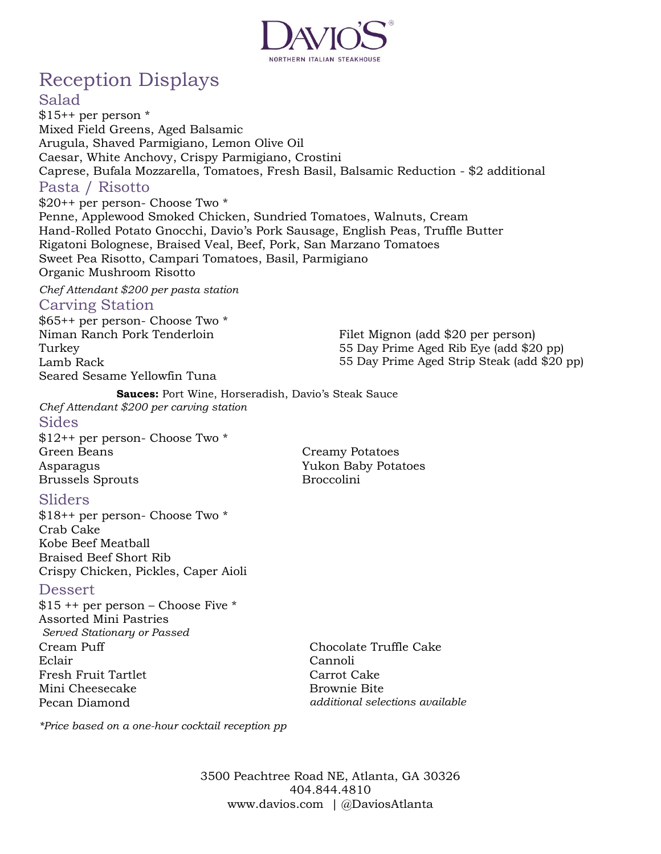

# Reception Displays

#### Salad

 $$15++$  per person  $*$ Mixed Field Greens, Aged Balsamic Arugula, Shaved Parmigiano, Lemon Olive Oil Caesar, White Anchovy, Crispy Parmigiano, Crostini Caprese, Bufala Mozzarella, Tomatoes, Fresh Basil, Balsamic Reduction - \$2 additional Pasta / Risotto \$20++ per person- Choose Two \* Penne, Applewood Smoked Chicken, Sundried Tomatoes, Walnuts, Cream Hand-Rolled Potato Gnocchi, Davio's Pork Sausage, English Peas, Truffle Butter

Rigatoni Bolognese, Braised Veal, Beef, Pork, San Marzano Tomatoes Sweet Pea Risotto, Campari Tomatoes, Basil, Parmigiano

Organic Mushroom Risotto

*Chef Attendant \$200 per pasta station* 

#### Carving Station

\$65++ per person- Choose Two \* Niman Ranch Pork Tenderloin Turkey Lamb Rack Seared Sesame Yellowfin Tuna

Filet Mignon (add \$20 per person) 55 Day Prime Aged Rib Eye (add \$20 pp) 55 Day Prime Aged Strip Steak (add \$20 pp)

**Sauces:** Port Wine, Horseradish, Davio's Steak Sauce *Chef Attendant \$200 per carving station*

Sides \$12++ per person- Choose Two \* Green Beans Asparagus Brussels Sprouts

Creamy Potatoes Yukon Baby Potatoes Broccolini

#### Sliders

\$18++ per person- Choose Two \* Crab Cake Kobe Beef Meatball Braised Beef Short Rib Crispy Chicken, Pickles, Caper Aioli

#### Dessert

\$15 ++ per person – Choose Five \* Assorted Mini Pastries *Served Stationary or Passed* Cream Puff Eclair Fresh Fruit Tartlet Mini Cheesecake Pecan Diamond

Chocolate Truffle Cake Cannoli Carrot Cake Brownie Bite *additional selections available*

*\*Price based on a one-hour cocktail reception pp*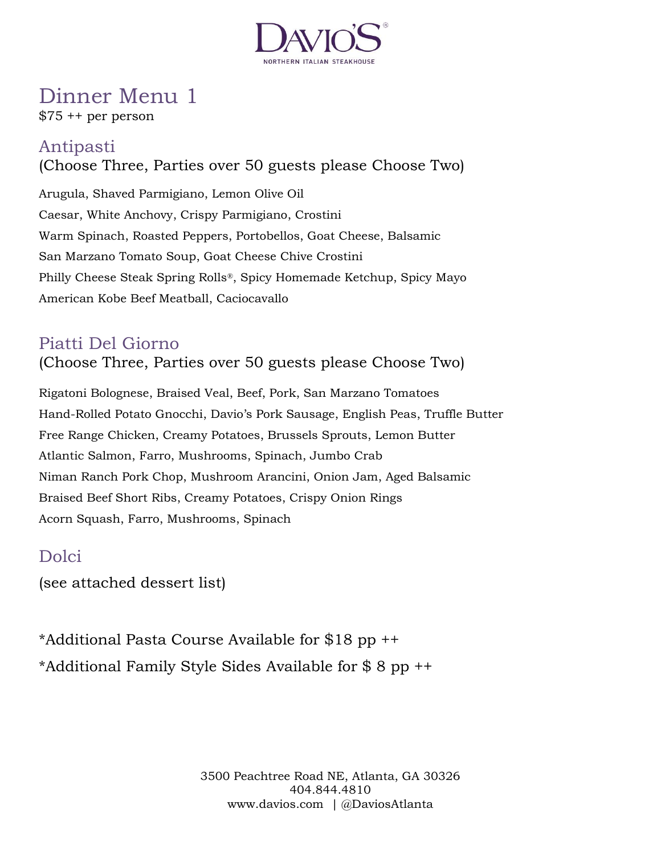

# Dinner Menu 1

\$75 ++ per person

## Antipasti

(Choose Three, Parties over 50 guests please Choose Two) Arugula, Shaved Parmigiano, Lemon Olive Oil Caesar, White Anchovy, Crispy Parmigiano, Crostini Warm Spinach, Roasted Peppers, Portobellos, Goat Cheese, Balsamic San Marzano Tomato Soup, Goat Cheese Chive Crostini

Philly Cheese Steak Spring Rolls®, Spicy Homemade Ketchup, Spicy Mayo American Kobe Beef Meatball, Caciocavallo

## Piatti Del Giorno

(Choose Three, Parties over 50 guests please Choose Two)

Rigatoni Bolognese, Braised Veal, Beef, Pork, San Marzano Tomatoes Hand-Rolled Potato Gnocchi, Davio's Pork Sausage, English Peas, Truffle Butter Free Range Chicken, Creamy Potatoes, Brussels Sprouts, Lemon Butter Atlantic Salmon, Farro, Mushrooms, Spinach, Jumbo Crab Niman Ranch Pork Chop, Mushroom Arancini, Onion Jam, Aged Balsamic Braised Beef Short Ribs, Creamy Potatoes, Crispy Onion Rings Acorn Squash, Farro, Mushrooms, Spinach

## Dolci

(see attached dessert list)

\*Additional Pasta Course Available for \$18 pp ++ \*Additional Family Style Sides Available for \$ 8 pp ++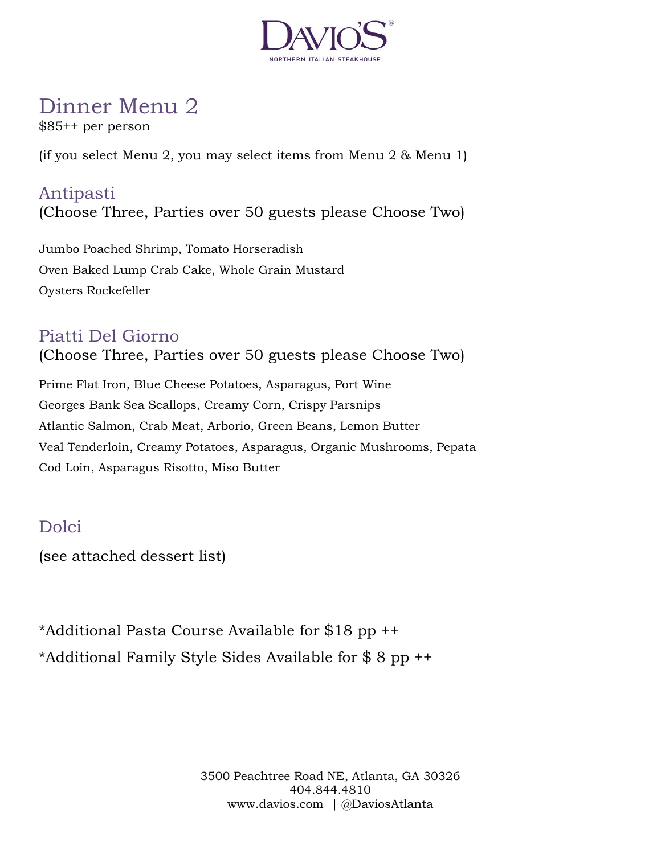

# Dinner Menu 2

\$85++ per person

(if you select Menu 2, you may select items from Menu 2 & Menu 1)

## Antipasti (Choose Three, Parties over 50 guests please Choose Two)

Jumbo Poached Shrimp, Tomato Horseradish Oven Baked Lump Crab Cake, Whole Grain Mustard Oysters Rockefeller

## Piatti Del Giorno

(Choose Three, Parties over 50 guests please Choose Two)

Prime Flat Iron, Blue Cheese Potatoes, Asparagus, Port Wine Georges Bank Sea Scallops, Creamy Corn, Crispy Parsnips Atlantic Salmon, Crab Meat, Arborio, Green Beans, Lemon Butter Veal Tenderloin, Creamy Potatoes, Asparagus, Organic Mushrooms, Pepata Cod Loin, Asparagus Risotto, Miso Butter

## Dolci

(see attached dessert list)

\*Additional Pasta Course Available for \$18 pp ++ \*Additional Family Style Sides Available for \$ 8 pp ++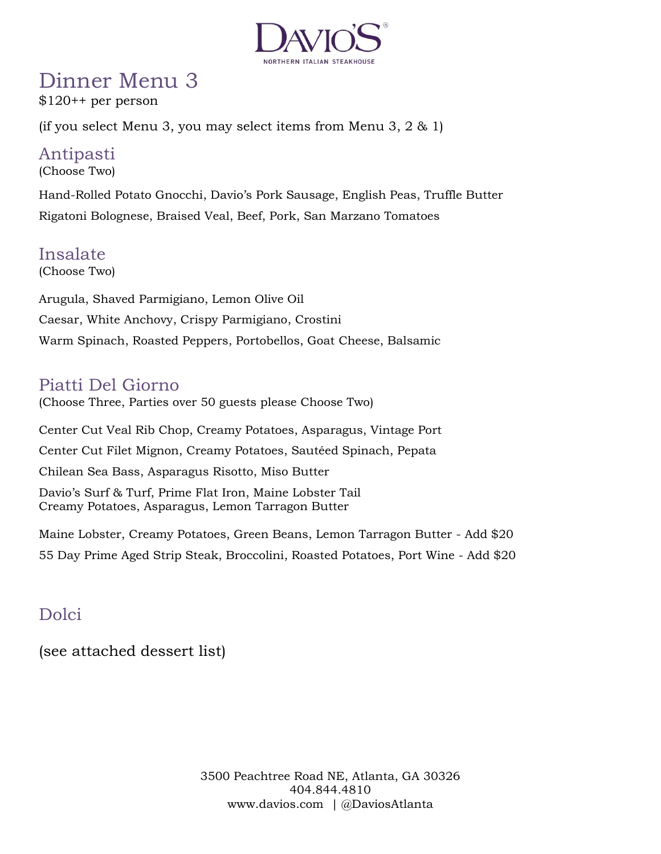

# Dinner Menu 3

 $$120++$  per person

(if you select Menu 3, you may select items from Menu 3,  $2 \& 1$ )

## Antipasti

(Choose Two)

Hand-Rolled Potato Gnocchi, Davio's Pork Sausage, English Peas, Truffle Butter Rigatoni Bolognese, Braised Veal, Beef, Pork, San Marzano Tomatoes

## Insalate

(Choose Two)

Arugula, Shaved Parmigiano, Lemon Olive Oil Caesar, White Anchovy, Crispy Parmigiano, Crostini Warm Spinach, Roasted Peppers, Portobellos, Goat Cheese, Balsamic

## Piatti Del Giorno

(Choose Three, Parties over 50 guests please Choose Two)

Center Cut Veal Rib Chop, Creamy Potatoes, Asparagus, Vintage Port Center Cut Filet Mignon, Creamy Potatoes, Sautéed Spinach, Pepata Chilean Sea Bass, Asparagus Risotto, Miso Butter Davio's Surf & Turf, Prime Flat Iron, Maine Lobster Tail Creamy Potatoes, Asparagus, Lemon Tarragon Butter

Maine Lobster, Creamy Potatoes, Green Beans, Lemon Tarragon Butter - Add \$20 55 Day Prime Aged Strip Steak, Broccolini, Roasted Potatoes, Port Wine - Add \$20

## Dolci

(see attached dessert list)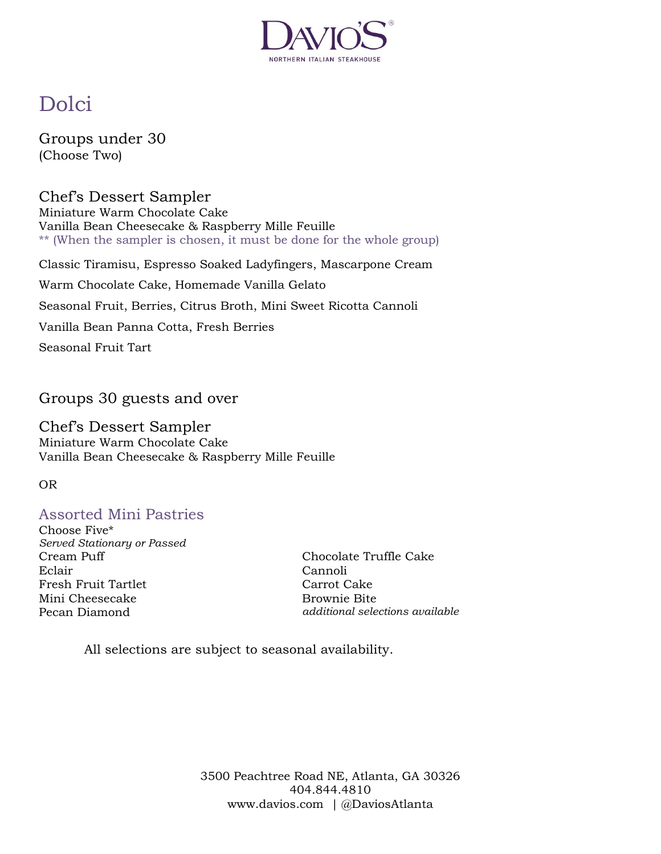

# Dolci

Groups under 30 (Choose Two)

Chef's Dessert Sampler Miniature Warm Chocolate Cake Vanilla Bean Cheesecake & Raspberry Mille Feuille \*\* (When the sampler is chosen, it must be done for the whole group) Classic Tiramisu, Espresso Soaked Ladyfingers, Mascarpone Cream

Warm Chocolate Cake, Homemade Vanilla Gelato Seasonal Fruit, Berries, Citrus Broth, Mini Sweet Ricotta Cannoli Vanilla Bean Panna Cotta, Fresh Berries Seasonal Fruit Tart

Groups 30 guests and over

Chef's Dessert Sampler Miniature Warm Chocolate Cake Vanilla Bean Cheesecake & Raspberry Mille Feuille

OR

### Assorted Mini Pastries

Choose Five\* *Served Stationary or Passed* Cream Puff Eclair Fresh Fruit Tartlet Mini Cheesecake Pecan Diamond

Chocolate Truffle Cake Cannoli Carrot Cake Brownie Bite *additional selections available*

All selections are subject to seasonal availability.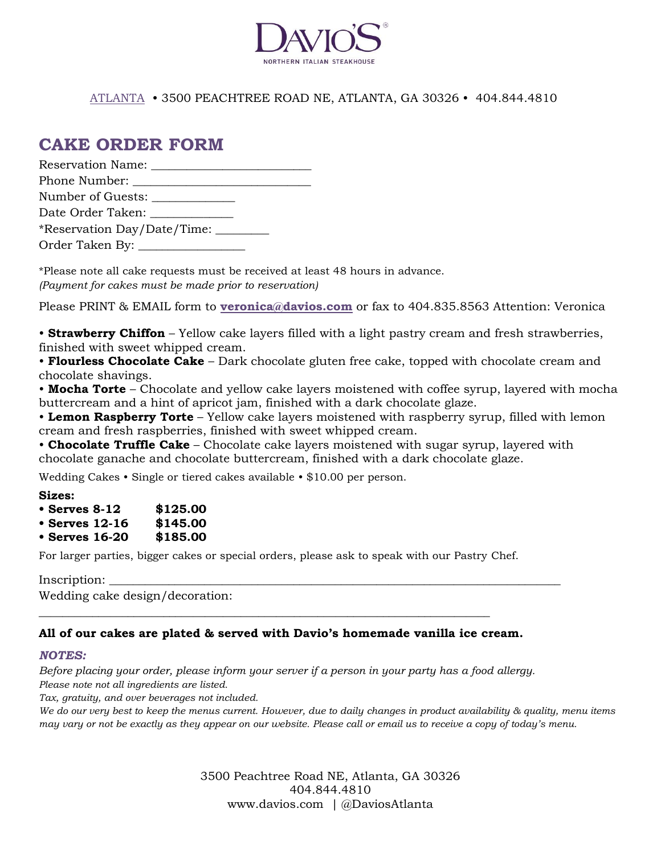

#### ATLANTA • 3500 PEACHTREE ROAD NE, ATLANTA, GA 30326 • 404.844.4810

### **CAKE ORDER FORM**

| Reservation Name:                                                                                                                                                                                                              |  |
|--------------------------------------------------------------------------------------------------------------------------------------------------------------------------------------------------------------------------------|--|
| Phone Number: The Second Second Second Second Second Second Second Second Second Second Second Second Second Second Second Second Second Second Second Second Second Second Second Second Second Second Second Second Second S |  |
| Number of Guests:                                                                                                                                                                                                              |  |
| Date Order Taken:                                                                                                                                                                                                              |  |
| *Reservation Day/Date/Time: ________                                                                                                                                                                                           |  |
|                                                                                                                                                                                                                                |  |

\*Please note all cake requests must be received at least 48 hours in advance. *(Payment for cakes must be made prior to reservation)*

Please PRINT & EMAIL form to **veronica@davios.com** or fax to 404.835.8563 Attention: Veronica

• **Strawberry Chiffon** – Yellow cake layers filled with a light pastry cream and fresh strawberries, finished with sweet whipped cream.

• **Flourless Chocolate Cake** – Dark chocolate gluten free cake, topped with chocolate cream and chocolate shavings.

• **Mocha Torte** – Chocolate and yellow cake layers moistened with coffee syrup, layered with mocha buttercream and a hint of apricot jam, finished with a dark chocolate glaze.

• **Lemon Raspberry Torte** – Yellow cake layers moistened with raspberry syrup, filled with lemon cream and fresh raspberries, finished with sweet whipped cream.

• **Chocolate Truffle Cake** – Chocolate cake layers moistened with sugar syrup, layered with chocolate ganache and chocolate buttercream, finished with a dark chocolate glaze.

Wedding Cakes • Single or tiered cakes available • \$10.00 per person.

**Sizes:**

| $\cdot$ Serves 8-12 | \$125.00 |
|---------------------|----------|
|---------------------|----------|

- **Serves 12-16 \$145.00**
- **Serves 16-20 \$185.00**

For larger parties, bigger cakes or special orders, please ask to speak with our Pastry Chef.

Inscription: \_\_\_\_\_\_\_\_\_\_\_\_\_\_\_\_\_\_\_\_\_\_\_\_\_\_\_\_\_\_\_\_\_\_\_\_\_\_\_\_\_\_\_\_\_\_\_\_\_\_\_\_\_\_\_\_\_\_\_\_\_\_\_\_\_\_\_\_\_\_\_\_\_\_\_\_

Wedding cake design/decoration:

#### **All of our cakes are plated & served with Davio's homemade vanilla ice cream.**

\_\_\_\_\_\_\_\_\_\_\_\_\_\_\_\_\_\_\_\_\_\_\_\_\_\_\_\_\_\_\_\_\_\_\_\_\_\_\_\_\_\_\_\_\_\_\_\_\_\_\_\_\_\_\_\_\_\_\_\_\_\_\_\_\_\_\_\_\_\_\_\_\_\_\_\_

#### *NOTES:*

*Before placing your order, please inform your server if a person in your party has a food allergy. Please note not all ingredients are listed.*

*Tax, gratuity, and over beverages not included.*

*We do our very best to keep the menus current. However, due to daily changes in product availability & quality, menu items may vary or not be exactly as they appear on our website. Please call or email us to receive a copy of today's menu.*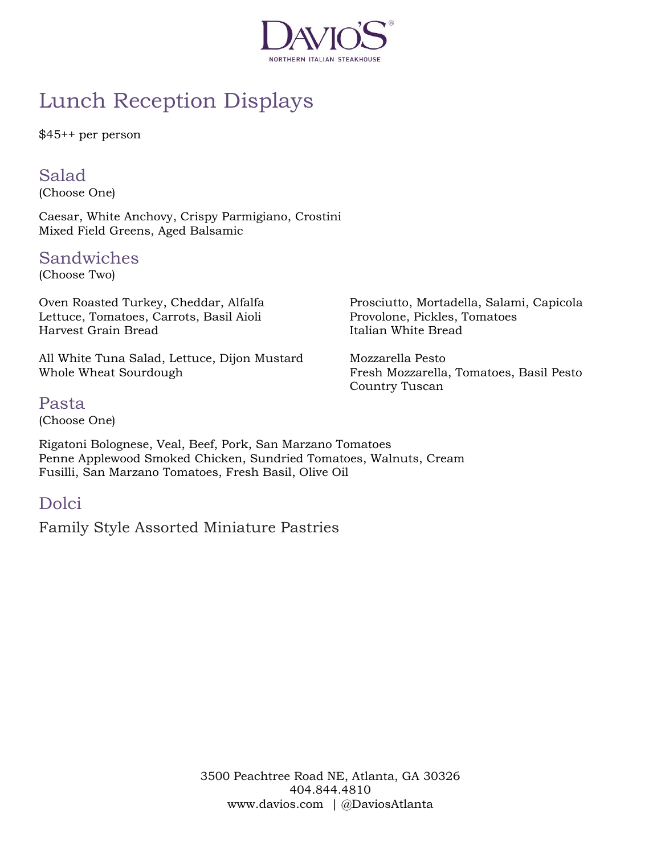

# Lunch Reception Displays

\$45++ per person

### Salad

(Choose One)

Caesar, White Anchovy, Crispy Parmigiano, Crostini Mixed Field Greens, Aged Balsamic

### Sandwiches

(Choose Two)

Oven Roasted Turkey, Cheddar, Alfalfa Lettuce, Tomatoes, Carrots, Basil Aioli Harvest Grain Bread

All White Tuna Salad, Lettuce, Dijon Mustard Whole Wheat Sourdough

Prosciutto, Mortadella, Salami, Capicola Provolone, Pickles, Tomatoes Italian White Bread

Mozzarella Pesto Fresh Mozzarella, Tomatoes, Basil Pesto Country Tuscan

### Pasta

(Choose One)

Rigatoni Bolognese, Veal, Beef, Pork, San Marzano Tomatoes Penne Applewood Smoked Chicken, Sundried Tomatoes, Walnuts, Cream Fusilli, San Marzano Tomatoes, Fresh Basil, Olive Oil

## Dolci

Family Style Assorted Miniature Pastries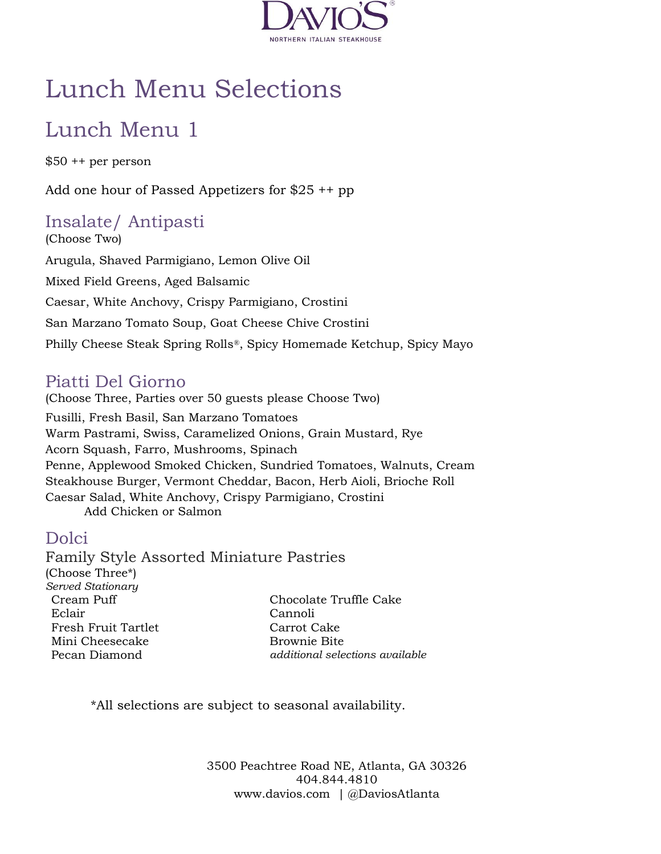

# Lunch Menu Selections

# Lunch Menu 1

\$50 ++ per person

Add one hour of Passed Appetizers for \$25 ++ pp

## Insalate/ Antipasti

(Choose Two) Arugula, Shaved Parmigiano, Lemon Olive Oil Mixed Field Greens, Aged Balsamic Caesar, White Anchovy, Crispy Parmigiano, Crostini San Marzano Tomato Soup, Goat Cheese Chive Crostini Philly Cheese Steak Spring Rolls®, Spicy Homemade Ketchup, Spicy Mayo

## Piatti Del Giorno

(Choose Three, Parties over 50 guests please Choose Two) Fusilli, Fresh Basil, San Marzano Tomatoes Warm Pastrami, Swiss, Caramelized Onions, Grain Mustard, Rye Acorn Squash, Farro, Mushrooms, Spinach Penne, Applewood Smoked Chicken, Sundried Tomatoes, Walnuts, Cream Steakhouse Burger, Vermont Cheddar, Bacon, Herb Aioli, Brioche Roll Caesar Salad, White Anchovy, Crispy Parmigiano, Crostini Add Chicken or Salmon

### Dolci

Family Style Assorted Miniature Pastries (Choose Three\*) *Served Stationary* Cream Puff Eclair Fresh Fruit Tartlet Mini Cheesecake Pecan Diamond Chocolate Truffle Cake Cannoli Carrot Cake Brownie Bite *additional selections available*

\*All selections are subject to seasonal availability.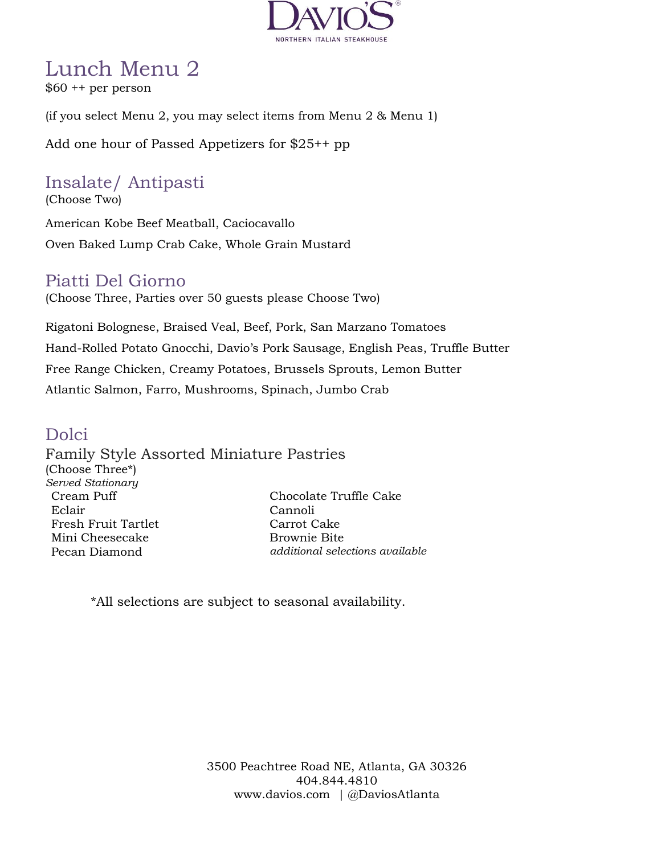

# Lunch Menu 2

\$60 ++ per person

(if you select Menu 2, you may select items from Menu 2 & Menu 1)

Add one hour of Passed Appetizers for \$25++ pp

## Insalate/ Antipasti

(Choose Two)

American Kobe Beef Meatball, Caciocavallo Oven Baked Lump Crab Cake, Whole Grain Mustard

### Piatti Del Giorno

(Choose Three, Parties over 50 guests please Choose Two)

Rigatoni Bolognese, Braised Veal, Beef, Pork, San Marzano Tomatoes Hand-Rolled Potato Gnocchi, Davio's Pork Sausage, English Peas, Truffle Butter Free Range Chicken, Creamy Potatoes, Brussels Sprouts, Lemon Butter Atlantic Salmon, Farro, Mushrooms, Spinach, Jumbo Crab

### Dolci

Family Style Assorted Miniature Pastries (Choose Three\*) *Served Stationary* Cream Puff Eclair Fresh Fruit Tartlet Mini Cheesecake Pecan Diamond Chocolate Truffle Cake Cannoli Carrot Cake Brownie Bite *additional selections available*

\*All selections are subject to seasonal availability.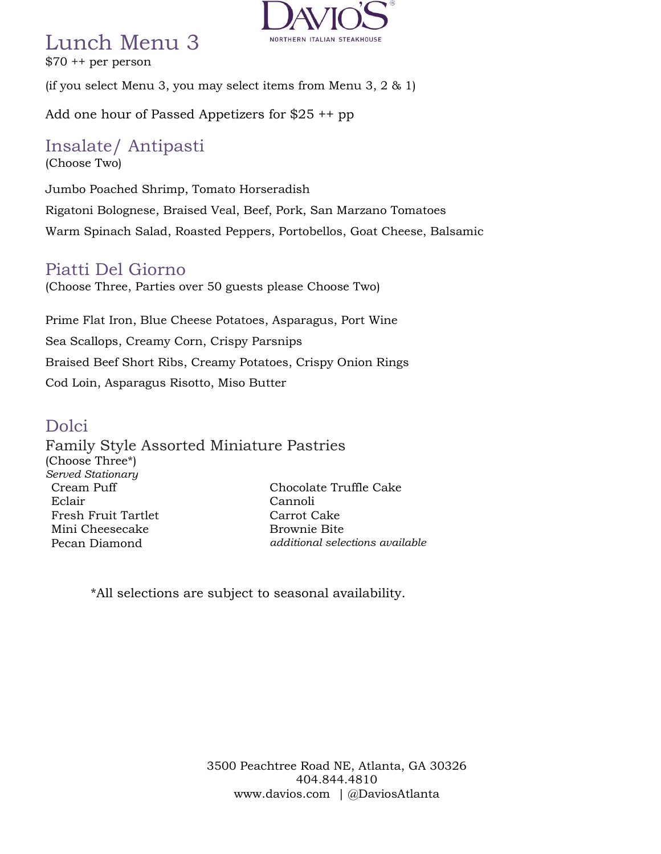## Lunch Menu 3

\$70 ++ per person



(if you select Menu 3, you may select items from Menu 3, 2 & 1)

Add one hour of Passed Appetizers for \$25 ++ pp

#### Insalate/ Antipasti (Choose Two)

Jumbo Poached Shrimp, Tomato Horseradish Rigatoni Bolognese, Braised Veal, Beef, Pork, San Marzano Tomatoes Warm Spinach Salad, Roasted Peppers, Portobellos, Goat Cheese, Balsamic

### Piatti Del Giorno

(Choose Three, Parties over 50 guests please Choose Two)

Prime Flat Iron, Blue Cheese Potatoes, Asparagus, Port Wine Sea Scallops, Creamy Corn, Crispy Parsnips Braised Beef Short Ribs, Creamy Potatoes, Crispy Onion Rings Cod Loin, Asparagus Risotto, Miso Butter

### Dolci

Family Style Assorted Miniature Pastries (Choose Three\*) *Served Stationary* Cream Puff Eclair Fresh Fruit Tartlet Mini Cheesecake Pecan Diamond Chocolate Truffle Cake Cannoli Carrot Cake Brownie Bite *additional selections available*

\*All selections are subject to seasonal availability.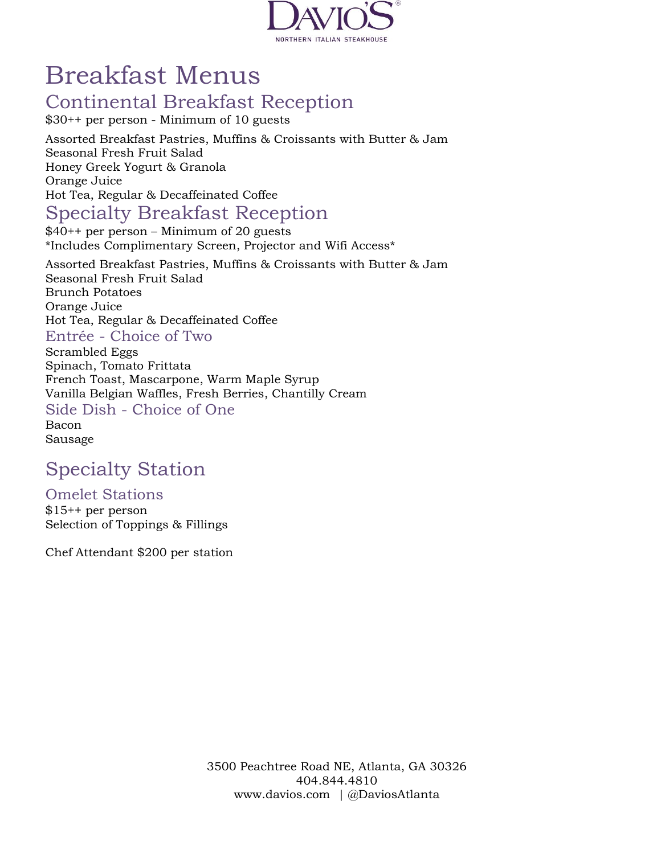

# Breakfast Menus

## Continental Breakfast Reception

\$30++ per person - Minimum of 10 guests

Assorted Breakfast Pastries, Muffins & Croissants with Butter & Jam Seasonal Fresh Fruit Salad Honey Greek Yogurt & Granola Orange Juice Hot Tea, Regular & Decaffeinated Coffee

## Specialty Breakfast Reception

\$40++ per person – Minimum of 20 guests \*Includes Complimentary Screen, Projector and Wifi Access\*

Assorted Breakfast Pastries, Muffins & Croissants with Butter & Jam Seasonal Fresh Fruit Salad Brunch Potatoes Orange Juice Hot Tea, Regular & Decaffeinated Coffee Entrée - Choice of Two Scrambled Eggs Spinach, Tomato Frittata French Toast, Mascarpone, Warm Maple Syrup Vanilla Belgian Waffles, Fresh Berries, Chantilly Cream Side Dish - Choice of One

Bacon

Sausage

# Specialty Station

Omelet Stations \$15++ per person Selection of Toppings & Fillings

Chef Attendant \$200 per station